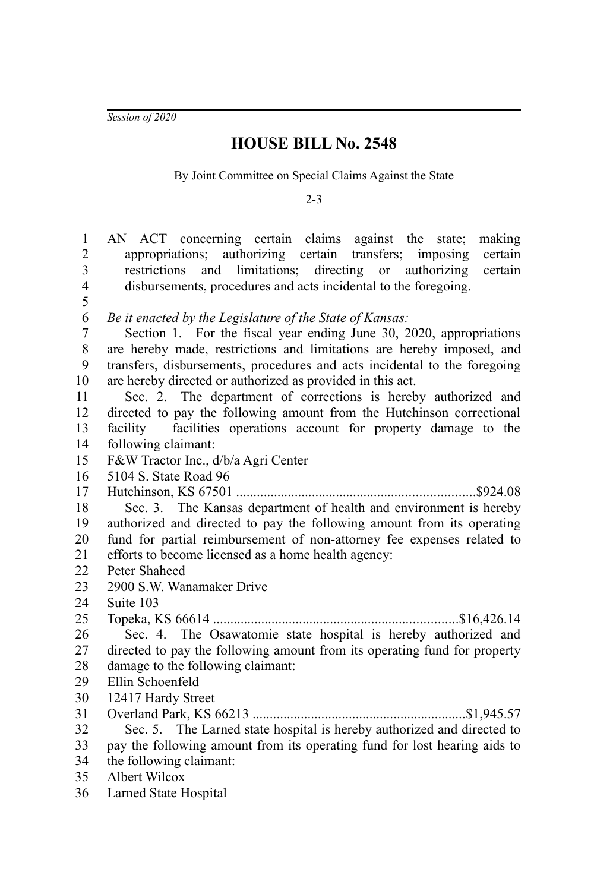*Session of 2020*

## **HOUSE BILL No. 2548**

By Joint Committee on Special Claims Against the State

2-3

| $\,1$                   | AN ACT concerning certain claims against the state;<br>making             |  |  |  |
|-------------------------|---------------------------------------------------------------------------|--|--|--|
| $\overline{c}$          | appropriations; authorizing certain transfers; imposing<br>certain        |  |  |  |
| $\overline{\mathbf{3}}$ | and limitations; directing or authorizing<br>restrictions<br>certain      |  |  |  |
| $\overline{\mathbf{4}}$ | disbursements, procedures and acts incidental to the foregoing.           |  |  |  |
| 5                       |                                                                           |  |  |  |
| 6                       | Be it enacted by the Legislature of the State of Kansas:                  |  |  |  |
| $\boldsymbol{7}$        | Section 1. For the fiscal year ending June 30, 2020, appropriations       |  |  |  |
| $8\,$                   | are hereby made, restrictions and limitations are hereby imposed, and     |  |  |  |
| 9                       | transfers, disbursements, procedures and acts incidental to the foregoing |  |  |  |
| 10                      | are hereby directed or authorized as provided in this act.                |  |  |  |
| 11                      | Sec. 2. The department of corrections is hereby authorized and            |  |  |  |
| 12                      | directed to pay the following amount from the Hutchinson correctional     |  |  |  |
| 13                      | facility – facilities operations account for property damage to the       |  |  |  |
| 14                      | following claimant:                                                       |  |  |  |
| 15                      | F&W Tractor Inc., d/b/a Agri Center                                       |  |  |  |
| 16                      | 5104 S. State Road 96                                                     |  |  |  |
| 17                      |                                                                           |  |  |  |
| 18                      | Sec. 3. The Kansas department of health and environment is hereby         |  |  |  |
| 19                      | authorized and directed to pay the following amount from its operating    |  |  |  |
| 20                      | fund for partial reimbursement of non-attorney fee expenses related to    |  |  |  |
| 21                      | efforts to become licensed as a home health agency:                       |  |  |  |
| 22                      | Peter Shaheed                                                             |  |  |  |
| 23                      | 2900 S.W. Wanamaker Drive                                                 |  |  |  |
| 24                      | Suite 103                                                                 |  |  |  |
| 25                      |                                                                           |  |  |  |
| 26                      | Sec. 4. The Osawatomie state hospital is hereby authorized and            |  |  |  |
| 27                      | directed to pay the following amount from its operating fund for property |  |  |  |
| 28                      | damage to the following claimant:                                         |  |  |  |
| 29                      | Ellin Schoenfeld                                                          |  |  |  |
| 30                      | 12417 Hardy Street                                                        |  |  |  |
| 31                      |                                                                           |  |  |  |
| 32                      | Sec. 5. The Larned state hospital is hereby authorized and directed to    |  |  |  |
| 33                      | pay the following amount from its operating fund for lost hearing aids to |  |  |  |
| 34                      | the following claimant:                                                   |  |  |  |
| 35                      | Albert Wilcox                                                             |  |  |  |
| 36                      | Larned State Hospital                                                     |  |  |  |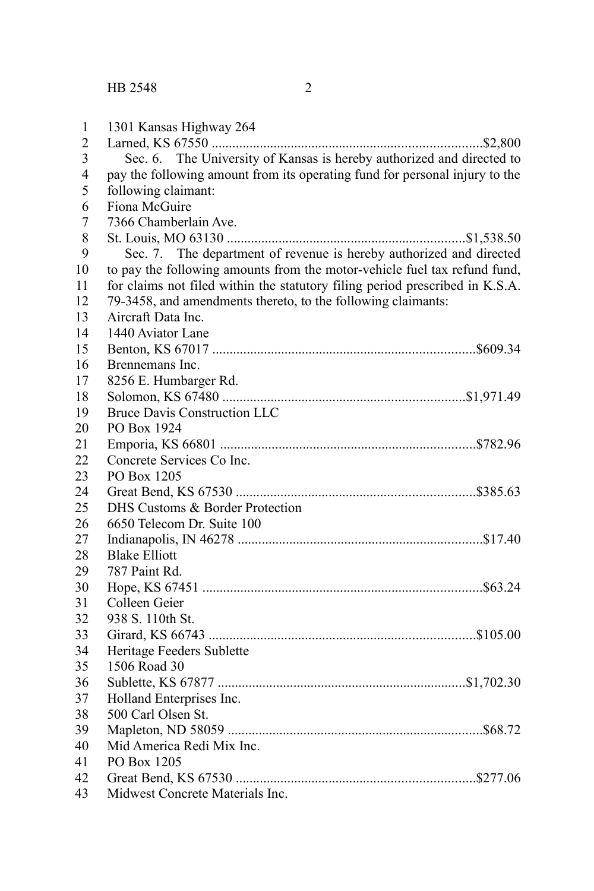| $\mathbf{1}$   | 1301 Kansas Highway 264                                                      |
|----------------|------------------------------------------------------------------------------|
| $\overline{2}$ |                                                                              |
| 3              | Sec. 6. The University of Kansas is hereby authorized and directed to        |
| $\overline{4}$ | pay the following amount from its operating fund for personal injury to the  |
| 5              | following claimant:                                                          |
| 6              | Fiona McGuire                                                                |
| $\overline{7}$ | 7366 Chamberlain Ave.                                                        |
| $\,$ 8 $\,$    |                                                                              |
| 9              | Sec. 7. The department of revenue is hereby authorized and directed          |
| 10             | to pay the following amounts from the motor-vehicle fuel tax refund fund,    |
| 11             | for claims not filed within the statutory filing period prescribed in K.S.A. |
| 12             | 79-3458, and amendments thereto, to the following claimants:                 |
| 13             | Aircraft Data Inc.                                                           |
| 14             | 1440 Aviator Lane                                                            |
| 15             |                                                                              |
| 16             | Brennemans Inc.                                                              |
| 17             | 8256 E. Humbarger Rd.                                                        |
| 18             |                                                                              |
| 19             | <b>Bruce Davis Construction LLC</b>                                          |
| 20             | PO Box 1924                                                                  |
| 21             |                                                                              |
| 22             | Concrete Services Co Inc.                                                    |
| 23             | PO Box 1205                                                                  |
| 24             |                                                                              |
| 25             | DHS Customs & Border Protection                                              |
| 26             | 6650 Telecom Dr. Suite 100                                                   |
| 27             |                                                                              |
| 28             | <b>Blake Elliott</b>                                                         |
| 29             | 787 Paint Rd.                                                                |
| 30             |                                                                              |
| 31             | Colleen Geier                                                                |
| 32             | 938 S. 110th St.                                                             |
| 33             |                                                                              |
| 34             | Heritage Feeders Sublette                                                    |
| 35             | 1506 Road 30                                                                 |
| 36             |                                                                              |
| 37             | Holland Enterprises Inc.                                                     |
| 38             | 500 Carl Olsen St.                                                           |
| 39             |                                                                              |
| 40             | Mid America Redi Mix Inc.                                                    |
| 41             | PO Box 1205                                                                  |
| 42             |                                                                              |
| 43             | Midwest Concrete Materials Inc.                                              |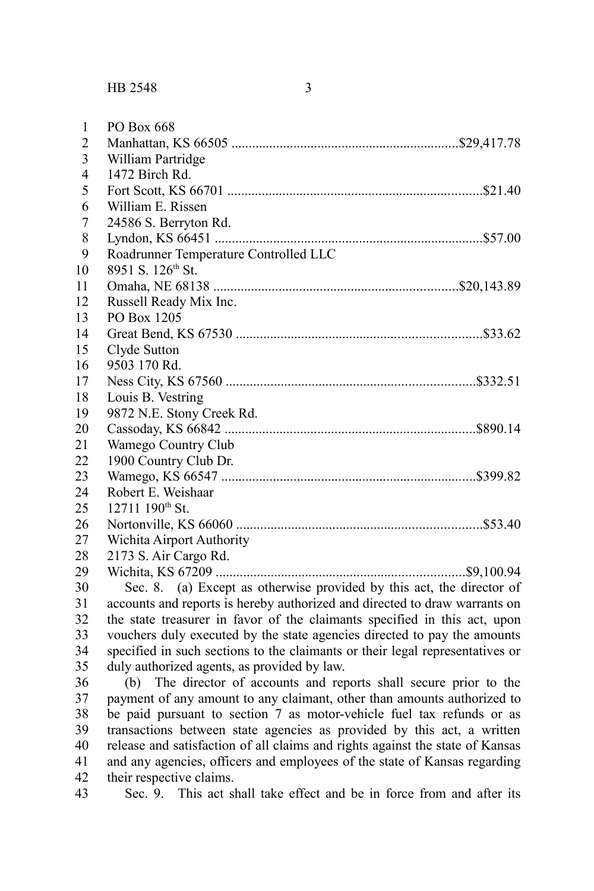1 2 3

| PO Box 668        |  |
|-------------------|--|
|                   |  |
| William Partridge |  |
| 1472 Birch Rd.    |  |

| $\overline{4}$ | 1472 Birch Rd.                        |           |
|----------------|---------------------------------------|-----------|
| 5              |                                       |           |
| 6              | William E. Rissen                     |           |
| 7              | 24586 S. Berryton Rd.                 |           |
| 8              |                                       |           |
| 9              | Roadrunner Temperature Controlled LLC |           |
| 10             | 8951 S. 126 <sup>th</sup> St.         |           |
| 11             |                                       |           |
| 12             | Russell Ready Mix Inc.                |           |
| 13             | PO Box 1205                           |           |
| 14             |                                       |           |
| 15             | Clyde Sutton                          |           |
| 16             | 9503 170 Rd.                          |           |
| 17             |                                       | .\$332.51 |
| 18             | Louis B. Vestring                     |           |
| 19             | 9872 N.E. Stony Creek Rd.             |           |
| 20             |                                       | \$890.14  |
| 21             | Wamego Country Club                   |           |
| 22             | 1900 Country Club Dr.                 |           |
| 23             |                                       | .\$399.82 |
| 24             | Robert E. Weishaar                    |           |
| 25             | $12711$ $190^{\text{th}}$ St.         |           |
| 26             |                                       | \$53.40   |
| 27             | Wichita Airport Authority             |           |
| 28             | 2173 S. Air Cargo Rd.                 |           |
|                |                                       | .         |

Wichita, KS 67209 ........................................................................\$9,100.94 Sec. 8. (a) Except as otherwise provided by this act, the director of accounts and reports is hereby authorized and directed to draw warrants on the state treasurer in favor of the claimants specified in this act, upon vouchers duly executed by the state agencies directed to pay the amounts specified in such sections to the claimants or their legal representatives or duly authorized agents, as provided by law. 29 30 31 32 33 34 35

(b) The director of accounts and reports shall secure prior to the payment of any amount to any claimant, other than amounts authorized to be paid pursuant to section 7 as motor-vehicle fuel tax refunds or as transactions between state agencies as provided by this act, a written release and satisfaction of all claims and rights against the state of Kansas and any agencies, officers and employees of the state of Kansas regarding their respective claims. 36 37 38 39 40 41 42

Sec. 9. This act shall take effect and be in force from and after its 43